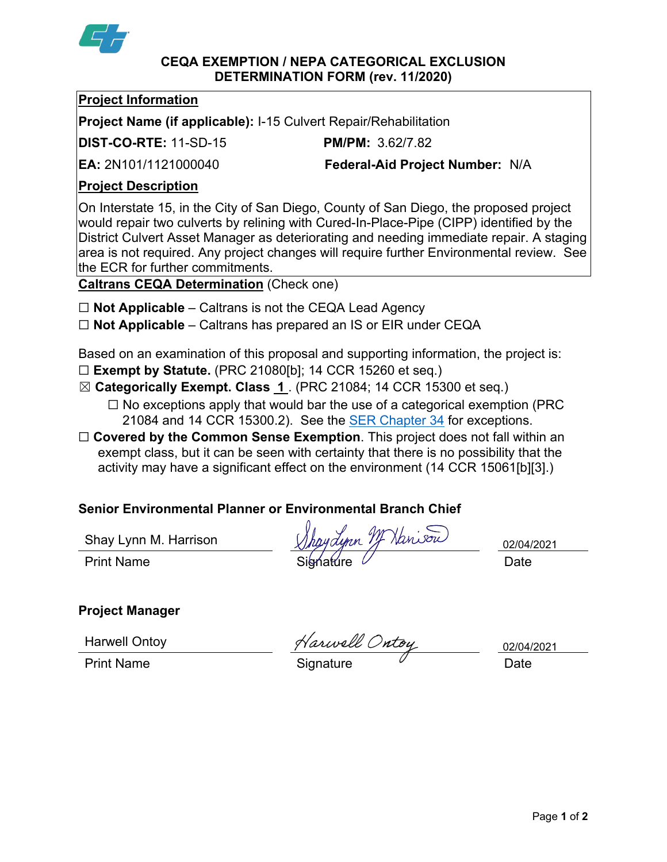

#### **CEQA EXEMPTION / NEPA CATEGORICAL EXCLUSION DETERMINATION FORM (rev. 11/2020)**

### **Project Information**

**Project Name (if applicable):** I-15 Culvert Repair/Rehabilitation

**DIST-CO-RTE:** 11-SD-15 **PM/PM:** 3.62/7.82

**EA:** 2N101/1121000040 **Federal-Aid Project Number:** N/A

# **Project Description**

On Interstate 15, in the City of San Diego, County of San Diego, the proposed project would repair two culverts by relining with Cured-In-Place-Pipe (CIPP) identified by the District Culvert Asset Manager as deteriorating and needing immediate repair. A staging area is not required. Any project changes will require further Environmental review. See the ECR for further commitments.

**Caltrans CEQA Determination** (Check one)

- ☐ **Not Applicable** Caltrans is not the CEQA Lead Agency
- ☐ **Not Applicable** Caltrans has prepared an IS or EIR under CEQA

Based on an examination of this proposal and supporting information, the project is:

- ☐ **Exempt by Statute.** (PRC 21080[b]; 14 CCR 15260 et seq.)
- ☒ **Categorically Exempt. Class 1** . (PRC 21084; 14 CCR 15300 et seq.)  $\Box$  No exceptions apply that would bar the use of a categorical exemption (PRC) 21084 and 14 CCR 15300.2). See the [SER Chapter 34](https://dot.ca.gov/programs/environmental-analysis/standard-environmental-reference-ser/volume-1-guidance-for-compliance/ch-34-exemptions-to-ceqa#except) for exceptions.
- □ **Covered by the Common Sense Exemption**. This project does not fall within an exempt class, but it can be seen with certainty that there is no possibility that the activity may have a significant effect on the environment (14 CCR 15061[b][3].)

# **Senior Environmental Planner or Environmental Branch Chief**

Shay Lynn M. Harrison

haydynn M Hanison Print Name **Signature Date** Signature Date Date

02/04/2021

**Project Manager**

Harwell Ontoy

Print Name **Signature**  $\mu$  Date

Harwell Ontoy

02/04/2021